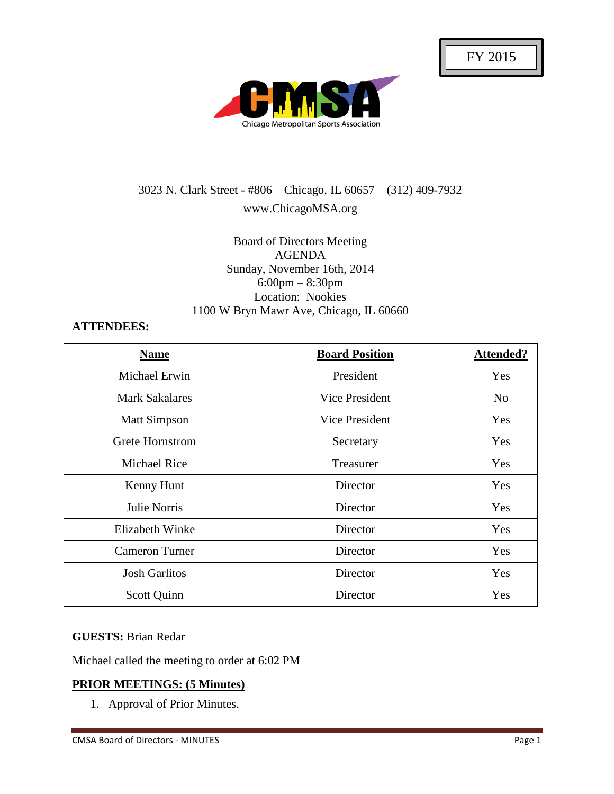

# 3023 N. Clark Street - #806 – Chicago, IL 60657 – (312) 409-7932 www.ChicagoMSA.org

## Board of Directors Meeting AGENDA Sunday, November 16th, 2014 6:00pm – 8:30pm Location: Nookies 1100 W Bryn Mawr Ave, Chicago, IL 60660

## **ATTENDEES:**

| <b>Name</b>            | <b>Board Position</b> | <b>Attended?</b> |
|------------------------|-----------------------|------------------|
| Michael Erwin          | President             | Yes              |
| <b>Mark Sakalares</b>  | Vice President        | N <sub>0</sub>   |
| <b>Matt Simpson</b>    | Vice President        | Yes              |
| Grete Hornstrom        | Secretary             | Yes              |
| <b>Michael Rice</b>    | Treasurer             | Yes              |
| Kenny Hunt             | Director              | Yes              |
| Julie Norris           | Director              | Yes              |
| <b>Elizabeth Winke</b> | Director              | Yes              |
| <b>Cameron Turner</b>  | Director              | Yes              |
| <b>Josh Garlitos</b>   | Director              | Yes              |
| Scott Quinn            | Director              | Yes              |

## **GUESTS:** Brian Redar

Michael called the meeting to order at 6:02 PM

## **PRIOR MEETINGS: (5 Minutes)**

1. Approval of Prior Minutes.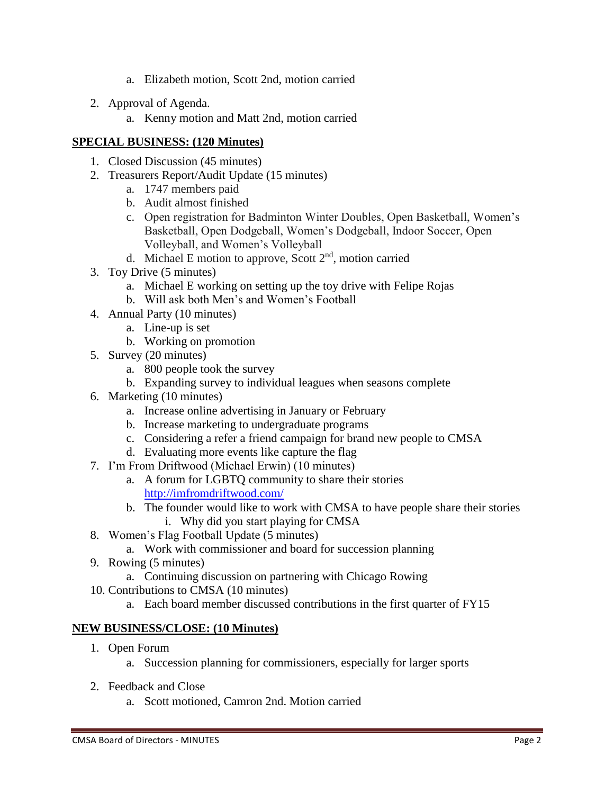- a. Elizabeth motion, Scott 2nd, motion carried
- 2. Approval of Agenda.
	- a. Kenny motion and Matt 2nd, motion carried

# **SPECIAL BUSINESS: (120 Minutes)**

- 1. Closed Discussion (45 minutes)
- 2. Treasurers Report/Audit Update (15 minutes)
	- a. 1747 members paid
	- b. Audit almost finished
	- c. Open registration for Badminton Winter Doubles, Open Basketball, Women's Basketball, Open Dodgeball, Women's Dodgeball, Indoor Soccer, Open Volleyball, and Women's Volleyball
	- d. Michael E motion to approve, Scott  $2<sup>nd</sup>$ , motion carried
- 3. Toy Drive (5 minutes)
	- a. Michael E working on setting up the toy drive with Felipe Rojas
	- b. Will ask both Men's and Women's Football
- 4. Annual Party (10 minutes)
	- a. Line-up is set
		- b. Working on promotion
- 5. Survey (20 minutes)
	- a. 800 people took the survey
	- b. Expanding survey to individual leagues when seasons complete
- 6. Marketing (10 minutes)
	- a. Increase online advertising in January or February
	- b. Increase marketing to undergraduate programs
	- c. Considering a refer a friend campaign for brand new people to CMSA
	- d. Evaluating more events like capture the flag
- 7. I'm From Driftwood (Michael Erwin) (10 minutes)
	- a. A forum for LGBTQ community to share their stories <http://imfromdriftwood.com/>
	- b. The founder would like to work with CMSA to have people share their stories
		- i. Why did you start playing for CMSA
- 8. Women's Flag Football Update (5 minutes)
	- a. Work with commissioner and board for succession planning
- 9. Rowing (5 minutes)
	- a. Continuing discussion on partnering with Chicago Rowing
- 10. Contributions to CMSA (10 minutes)
	- a. Each board member discussed contributions in the first quarter of FY15

# **NEW BUSINESS/CLOSE: (10 Minutes)**

- 1. Open Forum
	- a. Succession planning for commissioners, especially for larger sports
- 2. Feedback and Close
	- a. Scott motioned, Camron 2nd. Motion carried